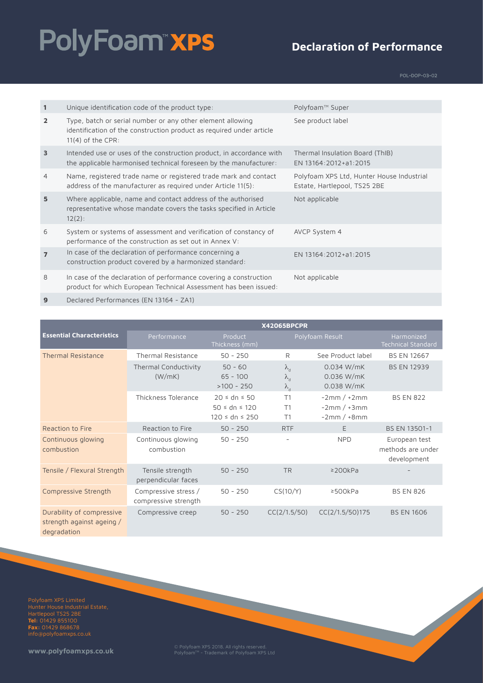# PolyFoam"xPS

#### **Declaration of Performance**

POL-DOP-03-02

| $\mathbf{1}$   | Unique identification code of the product type:                                                                                                           | Polyfoam™ Super                                                           |
|----------------|-----------------------------------------------------------------------------------------------------------------------------------------------------------|---------------------------------------------------------------------------|
| $\overline{2}$ | Type, batch or serial number or any other element allowing<br>identification of the construction product as required under article<br>$11(4)$ of the CPR: | See product label                                                         |
| $\overline{3}$ | Intended use or uses of the construction product, in accordance with<br>the applicable harmonised technical foreseen by the manufacturer:                 | Thermal Insulation Board (ThIB)<br>EN 13164:2012+a1:2015                  |
| $\overline{4}$ | Name, registered trade name or registered trade mark and contact<br>address of the manufacturer as required under Article 11(5):                          | Polyfoam XPS Ltd, Hunter House Industrial<br>Estate, Hartlepool, TS25 2BE |
| 5              | Where applicable, name and contact address of the authorised<br>representative whose mandate covers the tasks specified in Article<br>$12(2)$ :           | Not applicable                                                            |
| 6              | System or systems of assessment and verification of constancy of<br>performance of the construction as set out in Annex V:                                | AVCP System 4                                                             |
| $\overline{7}$ | In case of the declaration of performance concerning a<br>construction product covered by a harmonized standard:                                          | EN 13164:2012+a1:2015                                                     |
| 8              | In case of the declaration of performance covering a construction<br>product for which European Technical Assessment has been issued:                     | Not applicable                                                            |
|                |                                                                                                                                                           |                                                                           |

**9** Declared Performances (EN 13164 - ZA1)

|                                                                       | <b>X42065BPCPR</b>                           |                                                                   |                                                     |                                               |                                                   |  |
|-----------------------------------------------------------------------|----------------------------------------------|-------------------------------------------------------------------|-----------------------------------------------------|-----------------------------------------------|---------------------------------------------------|--|
| <b>Essential Characteristics</b>                                      | Performance                                  | Product<br>Thickness (mm)                                         |                                                     | Polyfoam Result                               | Harmonized<br><b>Technical Standard</b>           |  |
| <b>Thermal Resistance</b>                                             | <b>Thermal Resistance</b>                    | $50 - 250$                                                        | R                                                   | See Product label                             | <b>BS EN 12667</b>                                |  |
|                                                                       | Thermal Conductivity<br>(W/mK)               | $50 - 60$<br>$65 - 100$<br>$>100 - 250$                           | $\lambda_{\rm d}$<br>$\lambda_{\rm d}$<br>$\lambda$ | $0.034$ W/mK<br>0.036 W/mK<br>0.038 W/mK      | <b>BS EN 12939</b>                                |  |
|                                                                       | Thickness Tolerance                          | $20 \le dn \le 50$<br>$50 \le dn \le 120$<br>$120 \le dn \le 250$ | T1<br>T1<br>T1                                      | $-2mm/+2mm$<br>$-2mm / +3mm$<br>$-2mm / +8mm$ | <b>BS EN 822</b>                                  |  |
| Reaction to Fire                                                      | Reaction to Fire                             | $50 - 250$                                                        | <b>RTF</b>                                          | Ε                                             | BS EN 13501-1                                     |  |
| Continuous glowing<br>combustion                                      | Continuous glowing<br>combustion             | $50 - 250$                                                        | -                                                   | <b>NPD</b>                                    | European test<br>methods are under<br>development |  |
| Tensile / Flexural Strength                                           | Tensile strength<br>perpendicular faces      | $50 - 250$                                                        | <b>TR</b>                                           | $\geq$ 200kPa                                 |                                                   |  |
| Compressive Strength                                                  | Compressive stress /<br>compressive strength | $50 - 250$                                                        | CS(10/Y)                                            | ≥500kPa                                       | <b>BS EN 826</b>                                  |  |
| Durability of compressive<br>strength against ageing /<br>degradation | Compressive creep                            | $50 - 250$                                                        | CC(2/1.5/50)                                        | CC(2/1.5/50)175                               | <b>BS EN 1606</b>                                 |  |

Polyfoam XPS Limited Hartlepool TS25 2BE **Tel:** 01429 855100 **Fax:** 01429 868678 info@polyfoamxps.co.uk

**www.polyfoamxps.co.uk** © Polyfoam XPS 2018. All rights reserved. PolyfoamTM - Trademark of Polyfoam XPS Ltd